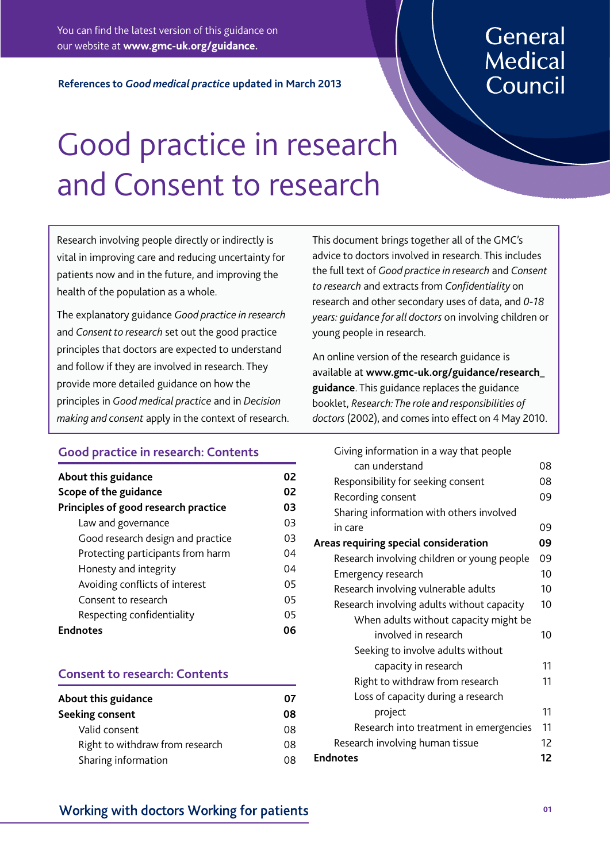**References to** *Good medical practice* **updated in March 2013** 

# General **Medical** Council

# Good practice in research and Consent to research

Research involving people directly or indirectly is vital in improving care and reducing uncertainty for patients now and in the future, and improving the health of the population as a whole.

The explanatory guidance *Good practice in research*  and *Consent to research* set out the good practice principles that doctors are expected to understand and follow if they are involved in research. They provide more detailed guidance on how the principles in *Good medical practice* and in *Decision making and consent* apply in the context of research.

# **Good practice in research: Contents**

| About this guidance                  | O2. |
|--------------------------------------|-----|
| Scope of the guidance                | 02  |
| Principles of good research practice | 03  |
| Law and governance                   | 03  |
| Good research design and practice    | 03  |
| Protecting participants from harm    | 04  |
| Honesty and integrity                | 04  |
| Avoiding conflicts of interest       | 05  |
| Consent to research                  | 05  |
| Respecting confidentiality           | 05  |
| <b>Endnotes</b>                      |     |

# **Consent to research: Contents**

| About this guidance             | 07 |
|---------------------------------|----|
| Seeking consent                 | 08 |
| Valid consent                   | 08 |
| Right to withdraw from research | 08 |
| Sharing information             | በጸ |

This document brings together all of the GMC's advice to doctors involved in research. This includes the full text of *Good practice in research* and *Consent to research* and extracts from *Confdentiality* on research and other secondary uses of data, and *0-18 years: guidance for all doctors* on involving children or young people in research.

An online version of the research guidance is available at **<www.gmc-uk.org/guidance/research>\_ guidance**. This guidance replaces the guidance booklet, *Research: The role and responsibilities of doctors* (2002), and comes into effect on 4 May 2010.

| Giving information in a way that people     |    |
|---------------------------------------------|----|
| can understand                              | 08 |
| Responsibility for seeking consent          | 08 |
| Recording consent                           | 09 |
| Sharing information with others involved    |    |
| in care                                     | 09 |
| Areas requiring special consideration       | 09 |
| Research involving children or young people | 09 |
| Emergency research                          | 10 |
| Research involving vulnerable adults        | 10 |
| Research involving adults without capacity  | 10 |
| When adults without capacity might be       |    |
| involved in research                        | 10 |
| Seeking to involve adults without           |    |
| capacity in research                        | 11 |
| Right to withdraw from research             | 11 |
| Loss of capacity during a research          |    |
| project                                     | 11 |
| Research into treatment in emergencies      | 11 |
| Research involving human tissue             | 12 |
| <b>Endnotes</b>                             | 12 |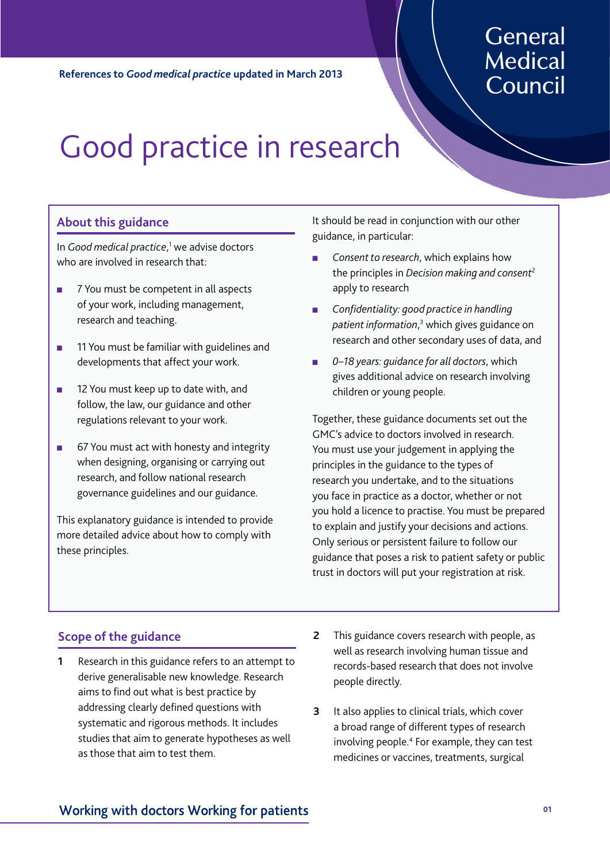# General **Medical** Council

# Good practice in research

# **About this guidance**

In *Good medical practice*, 1 we advise doctors who are involved in research that:

- 7 You must be competent in all aspects of your work, including management, research and teaching.
- 11 You must be familiar with guidelines and developments that affect your work.
- **n** 12 You must keep up to date with, and follow, the law, our guidance and other regulations relevant to your work.
- 67 You must act with honesty and integrity when designing, organising or carrying out research, and follow national research governance guidelines and our guidance.

This explanatory guidance is intended to provide more detailed advice about how to comply with these principles.

It should be read in conjunction with our other guidance, in particular:

- the principles in *Decision making and consent*<sup>2</sup> **n** *Consent to research*, which explains how apply to research
- $\overline{a}$ <sup>n</sup> *Confdentiality: good practice in handling patient information*, 3 which gives guidance on research and other secondary uses of data, and
- <sup>n</sup> *0–18 years: guidance for all doctors*, which gives additional advice on research involving children or young people.

Together, these guidance documents set out the GMC's advice to doctors involved in research. You must use your judgement in applying the principles in the guidance to the types of research you undertake, and to the situations you face in practice as a doctor, whether or not you hold a licence to practise. You must be prepared to explain and justify your decisions and actions. Only serious or persistent failure to follow our guidance that poses a risk to patient safety or public trust in doctors will put your registration at risk.

# **Scope of the guidance**

- Research in this guidance refers to an attempt to derive generalisable new knowledge. Research aims to find out what is best practice by addressing clearly defined questions with systematic and rigorous methods. It includes studies that aim to generate hypotheses as well as those that aim to test them. **1**
- **2** This guidance covers research with people, as well as research involving human tissue and records-based research that does not involve people directly.
- **3** It also applies to clinical trials, which cover a broad range of different types of research involving people.<sup>4</sup> For example, they can test medicines or vaccines, treatments, surgical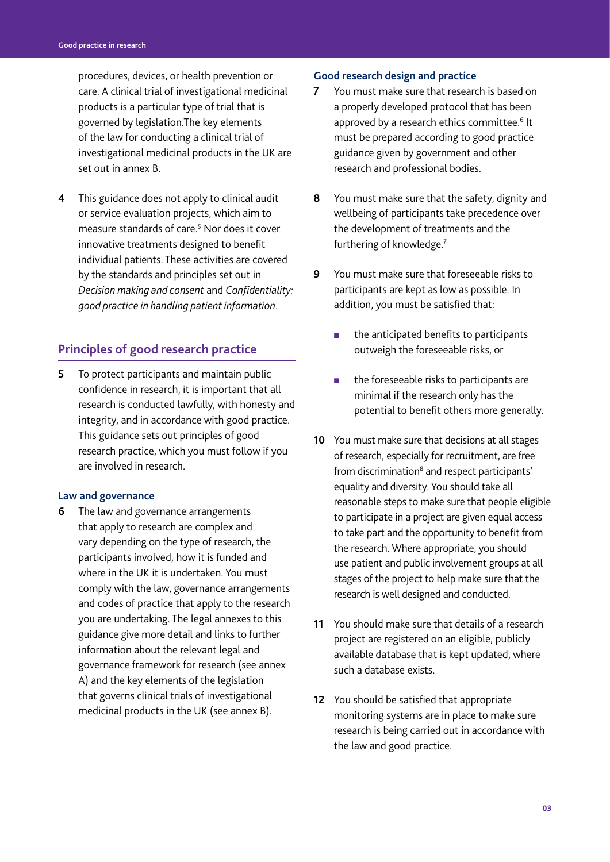procedures, devices, or health prevention or care. A clinical trial of investigational medicinal products is a particular type of trial that is governed by legislation.The key elements of the law for conducting a clinical trial of investigational medicinal products in the UK are set out in annex B.

**4**  This guidance does not apply to clinical audit or service evaluation projects, which aim to measure standards of care.<sup>5</sup> Nor does it cover innovative treatments designed to benefit individual patients. These activities are covered by the standards and principles set out in *Decision making and consent* and *Confdentiality: good practice in handling patient information*.

# **Principles of good research practice**

**5** To protect participants and maintain public confdence in research, it is important that all research is conducted lawfully, with honesty and integrity, and in accordance with good practice. This guidance sets out principles of good research practice, which you must follow if you are involved in research.

#### **Law and governance**

**6** The law and governance arrangements that apply to research are complex and vary depending on the type of research, the participants involved, how it is funded and where in the UK it is undertaken. You must comply with the law, governance arrangements and codes of practice that apply to the research you are undertaking. The legal annexes to this guidance give more detail and links to further information about the relevant legal and governance framework for research (see annex A) and the key elements of the legislation that governs clinical trials of investigational medicinal products in the UK (see annex B).

#### **Good research design and practice**

- **7** You must make sure that research is based on a properly developed protocol that has been approved by a research ethics committee.<sup>6</sup> It must be prepared according to good practice guidance given by government and other research and professional bodies.
- **8** You must make sure that the safety, dignity and wellbeing of participants take precedence over the development of treatments and the furthering of knowledge.<sup>7</sup>
- **9** You must make sure that foreseeable risks to participants are kept as low as possible. In addition, you must be satisfed that:
	- $\blacksquare$  the anticipated benefits to participants outweigh the foreseeable risks, or
	- $\blacksquare$  the foreseeable risks to participants are minimal if the research only has the potential to benefit others more generally.
- **10** You must make sure that decisions at all stages of research, especially for recruitment, are free from discrimination<sup>8</sup> and respect participants' equality and diversity. You should take all reasonable steps to make sure that people eligible to participate in a project are given equal access to take part and the opportunity to benefit from the research. Where appropriate, you should use patient and public involvement groups at all stages of the project to help make sure that the research is well designed and conducted.
- **11** You should make sure that details of a research project are registered on an eligible, publicly available database that is kept updated, where such a database exists.
- **12** You should be satisfed that appropriate monitoring systems are in place to make sure research is being carried out in accordance with the law and good practice.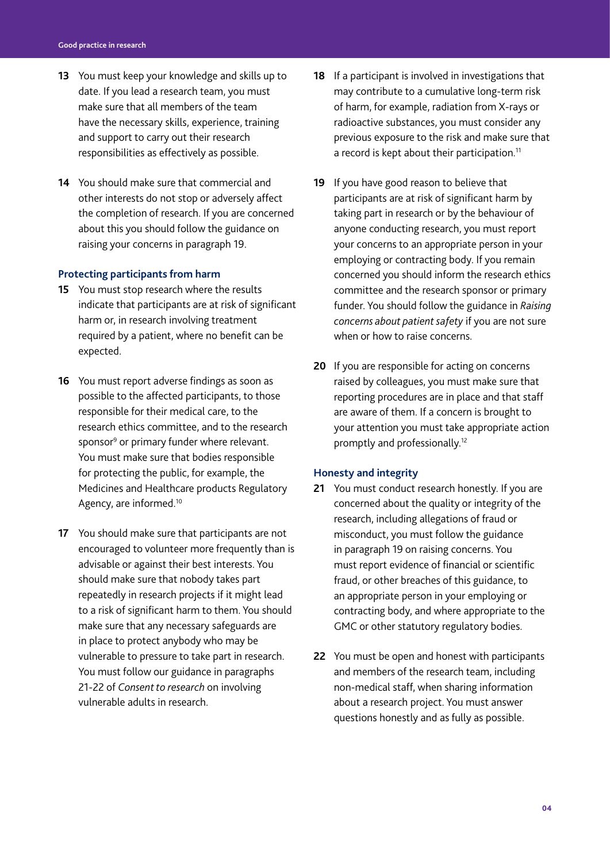- **13** You must keep your knowledge and skills up to date. If you lead a research team, you must make sure that all members of the team have the necessary skills, experience, training and support to carry out their research responsibilities as effectively as possible.
- **14** You should make sure that commercial and other interests do not stop or adversely affect the completion of research. If you are concerned about this you should follow the guidance on raising your concerns in paragraph 19.

#### **Protecting participants from harm**

- **15** You must stop research where the results indicate that participants are at risk of significant harm or, in research involving treatment required by a patient, where no benefit can be expected.
- **16** You must report adverse findings as soon as possible to the affected participants, to those responsible for their medical care, to the research ethics committee, and to the research sponsor<sup>9</sup> or primary funder where relevant. You must make sure that bodies responsible for protecting the public, for example, the Medicines and Healthcare products Regulatory Agency, are [informed.10](https://informed.10)
- **17** You should make sure that participants are not encouraged to volunteer more frequently than is advisable or against their best interests. You should make sure that nobody takes part repeatedly in research projects if it might lead to a risk of signifcant harm to them. You should make sure that any necessary safeguards are in place to protect anybody who may be vulnerable to pressure to take part in research. You must follow our guidance in paragraphs 21-22 of *Consent to research* on involving vulnerable adults in research.
- **18** If a participant is involved in investigations that may contribute to a cumulative long-term risk of harm, for example, radiation from X-rays or radioactive substances, you must consider any previous exposure to the risk and make sure that a record is kept about their participation.<sup>11</sup>
- **19** If you have good reason to believe that participants are at risk of significant harm by taking part in research or by the behaviour of anyone conducting research, you must report your concerns to an appropriate person in your employing or contracting body. If you remain concerned you should inform the research ethics committee and the research sponsor or primary funder. You should follow the guidance in *Raising concerns about patient safety* if you are not sure when or how to raise concerns.
- **20** If you are responsible for acting on concerns raised by colleagues, you must make sure that reporting procedures are in place and that staff are aware of them. If a concern is brought to your attention you must take appropriate action promptly and [professionally.12](https://professionally.12)

#### **Honesty and integrity**

- **21** You must conduct research honestly. If you are concerned about the quality or integrity of the research, including allegations of fraud or misconduct, you must follow the guidance in paragraph 19 on raising concerns. You must report evidence of financial or scientific fraud, or other breaches of this guidance, to an appropriate person in your employing or contracting body, and where appropriate to the GMC or other statutory regulatory bodies.
- **22** You must be open and honest with participants and members of the research team, including non-medical staff, when sharing information about a research project. You must answer questions honestly and as fully as possible.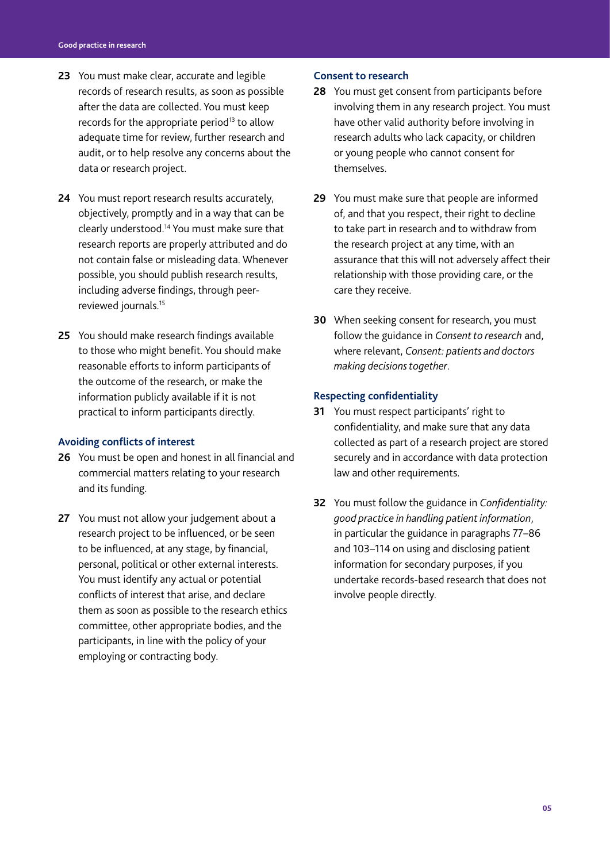- **23** You must make clear, accurate and legible records of research results, as soon as possible after the data are collected. You must keep records for the appropriate period $13$  to allow adequate time for review, further research and audit, or to help resolve any concerns about the data or research project.
- **24** You must report research results accurately, objectively, promptly and in a way that can be clearly [understood.14](https://understood.14) You must make sure that research reports are properly attributed and do not contain false or misleading data. Whenever possible, you should publish research results, including adverse findings, through peerreviewed [journals.15](https://journals.15)
- **25** You should make research findings available to those who might benefit. You should make reasonable efforts to inform participants of the outcome of the research, or make the information publicly available if it is not practical to inform participants directly.

#### **Avoiding conficts of interest**

- **26** You must be open and honest in all financial and commercial matters relating to your research and its funding.
- **27** You must not allow your judgement about a research project to be infuenced, or be seen to be influenced, at any stage, by financial, personal, political or other external interests. You must identify any actual or potential conficts of interest that arise, and declare them as soon as possible to the research ethics committee, other appropriate bodies, and the participants, in line with the policy of your employing or contracting body.

#### **Consent to research**

- **28** You must get consent from participants before involving them in any research project. You must have other valid authority before involving in research adults who lack capacity, or children or young people who cannot consent for themselves.
- **29** You must make sure that people are informed of, and that you respect, their right to decline to take part in research and to withdraw from the research project at any time, with an assurance that this will not adversely affect their relationship with those providing care, or the care they receive.
- **30** When seeking consent for research, you must follow the guidance in *Consent to research* and, where relevant, *Consent: patients and doctors making decisions together*.

#### **Respecting confdentiality**

- **31** You must respect participants' right to confdentiality, and make sure that any data collected as part of a research project are stored securely and in accordance with data protection law and other requirements.
- **32** You must follow the guidance in *Confdentiality: good practice in handling patient information*, in particular the guidance in paragraphs 77–86 and 103–114 on using and disclosing patient information for secondary purposes, if you undertake records-based research that does not involve people directly.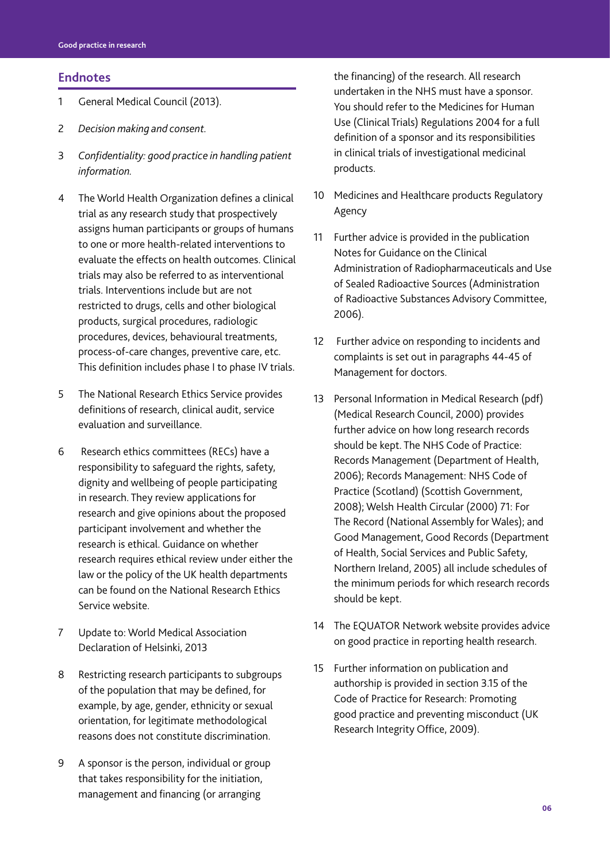#### **Endnotes**

- 1 General Medical Council (2013).
- 2 *Decision making and consent.*
- 3 *[Confdentiality: good practice in handling patient](http://www.gmc-uk.org/guidance/ethical_guidance/confidentiality.asp)  [information.](http://www.gmc-uk.org/guidance/ethical_guidance/confidentiality.asp)*
- 4 The World Health Organization defnes a clinical trial as any research study that prospectively assigns human participants or groups of humans to one or more health-related interventions to evaluate the effects on health outcomes. Clinical trials may also be referred to as interventional trials. Interventions include but are not restricted to drugs, cells and other biological products, surgical procedures, radiologic procedures, devices, behavioural treatments, process-of-care changes, preventive care, etc. This definition includes phase I to phase IV trials.
- 5 The National Research Ethics Service provides definitions of research, clinical audit, service evaluation and surveillance.
- 6 Research ethics committees (RECs) have a responsibility to safeguard the rights, safety, dignity and wellbeing of people participating in research. They review applications for research and give opinions about the proposed participant involvement and whether the research is ethical. Guidance on whether research requires ethical review under either the law or the policy of the UK health departments can be found on the National Research Ethics Service website.
- 7 Update to: World Medical Association Declaration of Helsinki, 2013
- 8 Restricting research participants to subgroups of the population that may be defned, for example, by age, gender, ethnicity or sexual orientation, for legitimate methodological reasons does not constitute discrimination.
- A sponsor is the person, individual or group that takes responsibility for the initiation, management and financing (or arranging 9

the financing) of the research. All research undertaken in the NHS must have a sponsor. You should refer to the Medicines for Human Use (Clinical Trials) Regulations 2004 for a full definition of a sponsor and its responsibilities in clinical trials of investigational medicinal products.

- 10 Medicines and Healthcare products Regulatory Agency
- 11 Further advice is provided in the publication Notes for Guidance on the Clinical Administration of Radiopharmaceuticals and Use of Sealed Radioactive Sources (Administration of Radioactive Substances Advisory Committee, 2006).
- 12 Further advice on responding to incidents and complaints is set out in paragraphs 44-45 of Management for doctors.
- 13 Personal Information in Medical Research (pdf) (Medical Research Council, 2000) provides further advice on how long research records should be kept. The NHS Code of Practice: Records Management (Department of Health, 2006); Records Management: NHS Code of Practice (Scotland) (Scottish Government, 2008); Welsh Health Circular (2000) 71: For The Record (National Assembly for Wales); and Good Management, Good Records (Department of Health, Social Services and Public Safety, Northern Ireland, 2005) all include schedules of the minimum periods for which research records should be kept.
- 14 The EQUATOR Network website provides advice on good practice in reporting health research.
- 15 Further information on publication and authorship is provided in section 3.15 of the Code of Practice for Research: Promoting good practice and preventing misconduct (UK Research Integrity Office, 2009).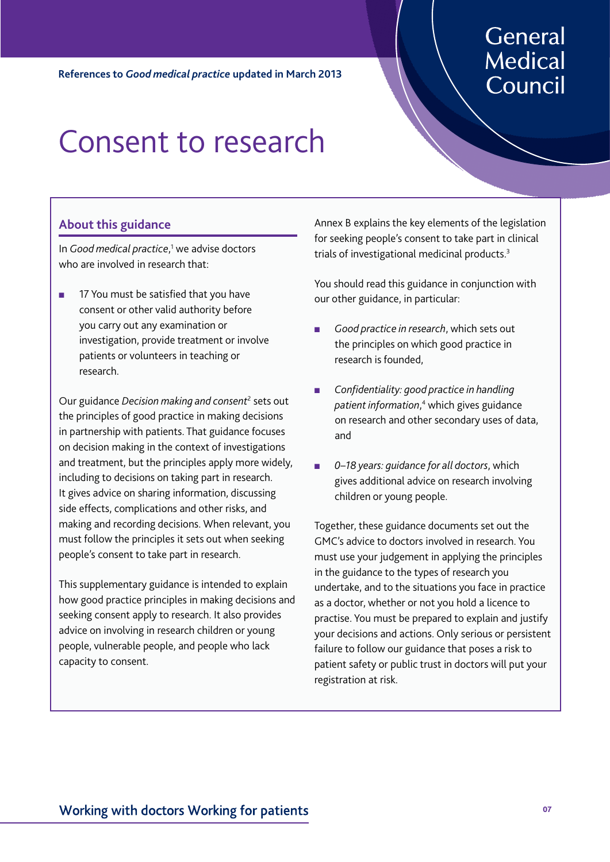# General **Medical** Council

# Consent to research

# **About this guidance**

In *Good medical practice*, 1 we advise doctors who are involved in research that:

 $\blacksquare$  17 You must be satisfied that you have consent or other valid authority before you carry out any examination or investigation, provide treatment or involve patients or volunteers in teaching or research.

Our guidance *Decision making and consent*2 sets out the principles of good practice in making decisions in partnership with patients. That guidance focuses on decision making in the context of investigations and treatment, but the principles apply more widely, including to decisions on taking part in research. It gives advice on sharing information, discussing side effects, complications and other risks, and making and recording decisions. When relevant, you must follow the principles it sets out when seeking people's consent to take part in research.

This supplementary guidance is intended to explain how good practice principles in making decisions and seeking consent apply to research. It also provides advice on involving in research children or young people, vulnerable people, and people who lack capacity to consent.

Annex B explains the key elements of the legislation for seeking people's consent to take part in clinical trials of investigational medicinal products.<sup>3</sup>

You should read this guidance in conjunction with our other guidance, in particular:

- Good practice in research, which sets out the principles on which good practice in research is founded,
- $\overline{a}$ <sup>n</sup> *Confdentiality: good practice in handling patient information*, 4 which gives guidance on research and other secondary uses of data, and
- <sup>n</sup> *0–18 years: guidance for all doctors*, which gives additional advice on research involving children or young people.

Together, these guidance documents set out the GMC's advice to doctors involved in research. You must use your judgement in applying the principles in the guidance to the types of research you undertake, and to the situations you face in practice as a doctor, whether or not you hold a licence to practise. You must be prepared to explain and justify your decisions and actions. Only serious or persistent failure to follow our guidance that poses a risk to patient safety or public trust in doctors will put your registration at risk.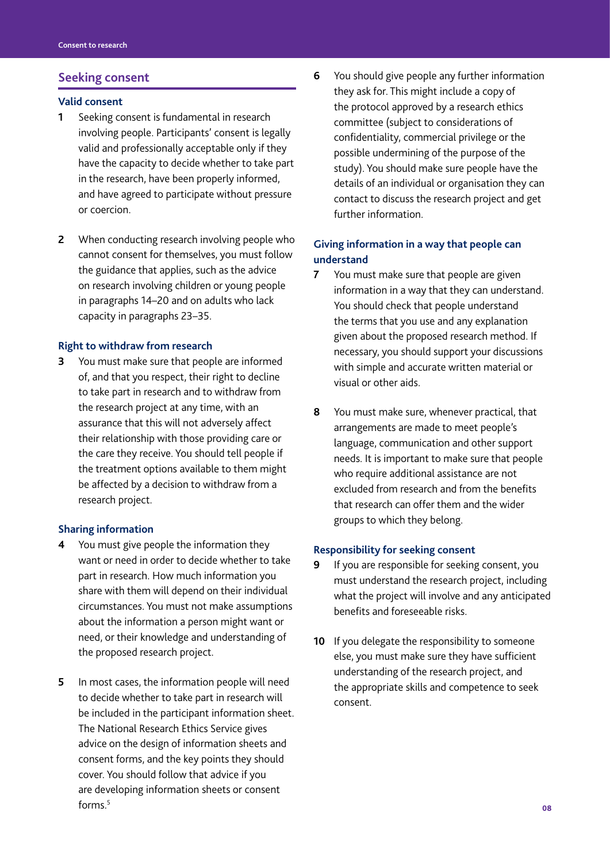### **Seeking consent**

#### **Valid consent**

- **1** Seeking consent is fundamental in research involving people. Participants' consent is legally valid and professionally acceptable only if they have the capacity to decide whether to take part in the research, have been properly informed, and have agreed to participate without pressure or coercion.
- **2** When conducting research involving people who cannot consent for themselves, you must follow the guidance that applies, such as the advice on research involving children or young people in paragraphs 14–20 and on adults who lack capacity in paragraphs 23–35.

#### **Right to withdraw from research**

**3** You must make sure that people are informed of, and that you respect, their right to decline to take part in research and to withdraw from the research project at any time, with an assurance that this will not adversely affect their relationship with those providing care or the care they receive. You should tell people if the treatment options available to them might be affected by a decision to withdraw from a research project.

#### **Sharing information**

- **4** You must give people the information they want or need in order to decide whether to take part in research. How much information you share with them will depend on their individual circumstances. You must not make assumptions about the information a person might want or need, or their knowledge and understanding of the proposed research project.
- **5** In most cases, the information people will need to decide whether to take part in research will be included in the participant information sheet. The National Research Ethics Service gives advice on the design of information sheets and consent forms, and the key points they should cover. You should follow that advice if you are developing information sheets or consent forms $<sup>5</sup>$ </sup>

**6** You should give people any further information they ask for. This might include a copy of the protocol approved by a research ethics committee (subject to considerations of confidentiality, commercial privilege or the possible undermining of the purpose of the study). You should make sure people have the details of an individual or organisation they can contact to discuss the research project and get further information.

## **Giving information in a way that people can understand**

- **7** You must make sure that people are given information in a way that they can understand. You should check that people understand the terms that you use and any explanation given about the proposed research method. If necessary, you should support your discussions with simple and accurate written material or visual or other aids.
- **8** You must make sure, whenever practical, that arrangements are made to meet people's language, communication and other support needs. It is important to make sure that people who require additional assistance are not excluded from research and from the benefits that research can offer them and the wider groups to which they belong.

#### **Responsibility for seeking consent**

- **9** If you are responsible for seeking consent, you must understand the research project, including what the project will involve and any anticipated benefits and foreseeable risks.
- **10** If you delegate the responsibility to someone else, you must make sure they have sufficient understanding of the research project, and the appropriate skills and competence to seek consent.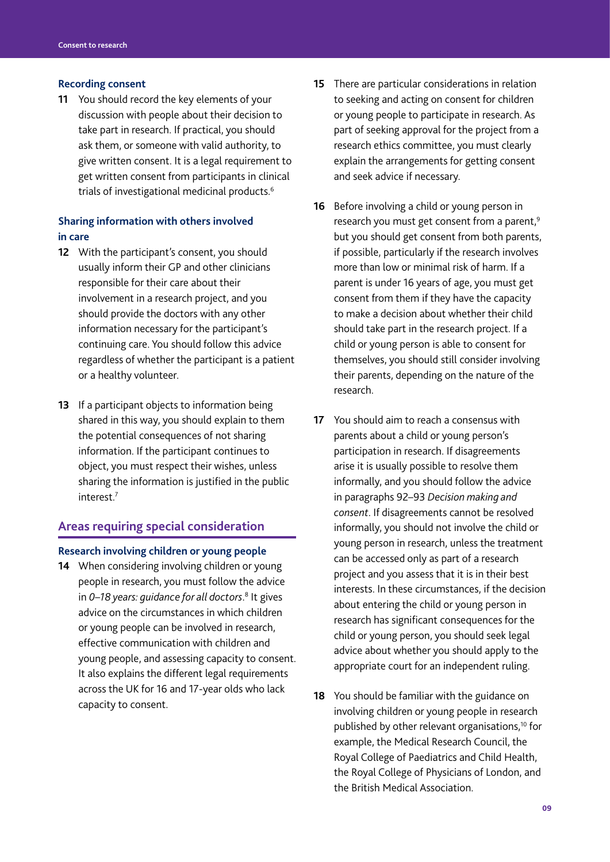#### **Recording consent**

**11** You should record the key elements of your discussion with people about their decision to take part in research. If practical, you should ask them, or someone with valid authority, to give written consent. It is a legal requirement to get written consent from participants in clinical trials of investigational medicinal products.6

## **Sharing information with others involved in care**

- **12** With the participant's consent, you should usually inform their GP and other clinicians responsible for their care about their involvement in a research project, and you should provide the doctors with any other information necessary for the participant's continuing care. You should follow this advice regardless of whether the participant is a patient or a healthy volunteer.
- **13** If a participant objects to information being shared in this way, you should explain to them the potential consequences of not sharing information. If the participant continues to object, you must respect their wishes, unless sharing the information is justifed in the public interest.7

## **Areas requiring special consideration**

#### **Research involving children or young people**

**14** When considering involving children or young people in research, you must follow the advice in 0-18 years: guidance for all doctors.<sup>8</sup> It gives advice on the circumstances in which children or young people can be involved in research, effective communication with children and young people, and assessing capacity to consent. It also explains the different legal requirements across the UK for 16 and 17-year olds who lack capacity to consent.

- **15** There are particular considerations in relation to seeking and acting on consent for children or young people to participate in research. As part of seeking approval for the project from a research ethics committee, you must clearly explain the arrangements for getting consent and seek advice if necessary.
- **16** Before involving a child or young person in research you must get consent from a parent.<sup>9</sup> but you should get consent from both parents, if possible, particularly if the research involves more than low or minimal risk of harm. If a parent is under 16 years of age, you must get consent from them if they have the capacity to make a decision about whether their child should take part in the research project. If a child or young person is able to consent for themselves, you should still consider involving their parents, depending on the nature of the research.
- **17** You should aim to reach a consensus with parents about a child or young person's participation in research. If disagreements arise it is usually possible to resolve them informally, and you should follow the advice in paragraphs 92–93 *Decision making and consent*. If disagreements cannot be resolved informally, you should not involve the child or young person in research, unless the treatment can be accessed only as part of a research project and you assess that it is in their best interests. In these circumstances, if the decision about entering the child or young person in research has significant consequences for the child or young person, you should seek legal advice about whether you should apply to the appropriate court for an independent ruling.
- **18** You should be familiar with the guidance on involving children or young people in research published by other relevant organisations,10 for example, the Medical Research Council, the Royal College of Paediatrics and Child Health, the Royal College of Physicians of London, and the British Medical Association.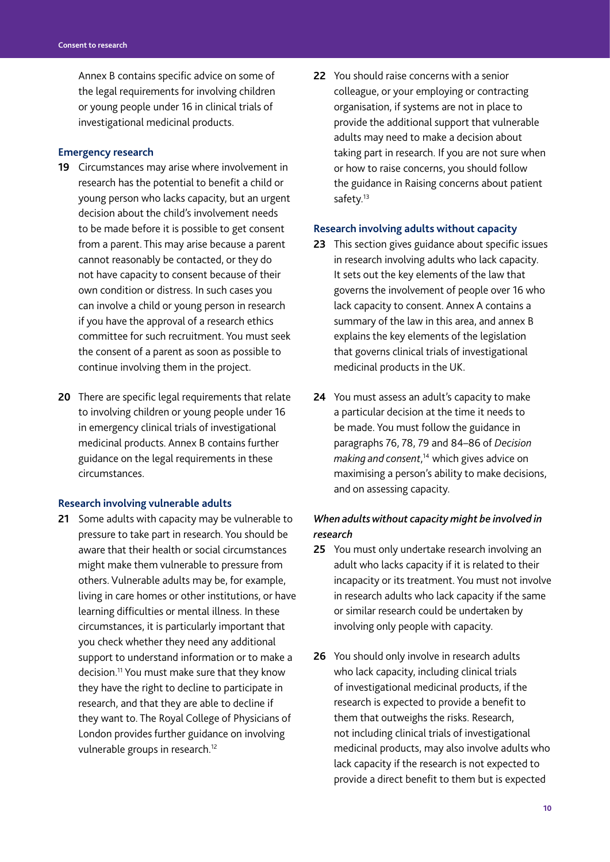Annex B contains specific advice on some of the legal requirements for involving children or young people under 16 in clinical trials of investigational medicinal products.

#### **Emergency research**

- **19** Circumstances may arise where involvement in research has the potential to benefit a child or young person who lacks capacity, but an urgent decision about the child's involvement needs to be made before it is possible to get consent from a parent. This may arise because a parent cannot reasonably be contacted, or they do not have capacity to consent because of their own condition or distress. In such cases you can involve a child or young person in research if you have the approval of a research ethics committee for such recruitment. You must seek the consent of a parent as soon as possible to continue involving them in the project.
- 20 There are specific legal requirements that relate to involving children or young people under 16 in emergency clinical trials of investigational medicinal products. Annex B contains further guidance on the legal requirements in these circumstances.

#### **Research involving vulnerable adults**

**21** Some adults with capacity may be vulnerable to pressure to take part in research. You should be aware that their health or social circumstances might make them vulnerable to pressure from others. Vulnerable adults may be, for example, living in care homes or other institutions, or have learning difficulties or mental illness. In these circumstances, it is particularly important that you check whether they need any additional support to understand information or to make a [decision.11](https://decision.11) You must make sure that they know they have the right to decline to participate in research, and that they are able to decline if they want to. The Royal College of Physicians of London provides further guidance on involving vulnerable groups in research.<sup>12</sup>

**22** You should raise concerns with a senior colleague, or your employing or contracting organisation, if systems are not in place to provide the additional support that vulnerable adults may need to make a decision about taking part in research. If you are not sure when or how to raise concerns, you should follow the guidance in Raising concerns about patient safety.<sup>13</sup>

#### **Research involving adults without capacity**

- **23** This section gives guidance about specific issues in research involving adults who lack capacity. It sets out the key elements of the law that governs the involvement of people over 16 who lack capacity to consent. Annex A contains a summary of the law in this area, and annex B explains the key elements of the legislation that governs clinical trials of investigational medicinal products in the UK.
- **24** You must assess an adult's capacity to make a particular decision at the time it needs to be made. You must follow the guidance in paragraphs 76, 78, 79 and 84–86 of *Decision making and consent*, 14 which gives advice on maximising a person's ability to make decisions, and on assessing capacity.

## *When adults without capacity might be involved in research*

- **25** You must only undertake research involving an adult who lacks capacity if it is related to their incapacity or its treatment. You must not involve in research adults who lack capacity if the same or similar research could be undertaken by involving only people with capacity.
- **26** You should only involve in research adults who lack capacity, including clinical trials of investigational medicinal products, if the research is expected to provide a benefit to them that outweighs the risks. Research, not including clinical trials of investigational medicinal products, may also involve adults who lack capacity if the research is not expected to provide a direct benefit to them but is expected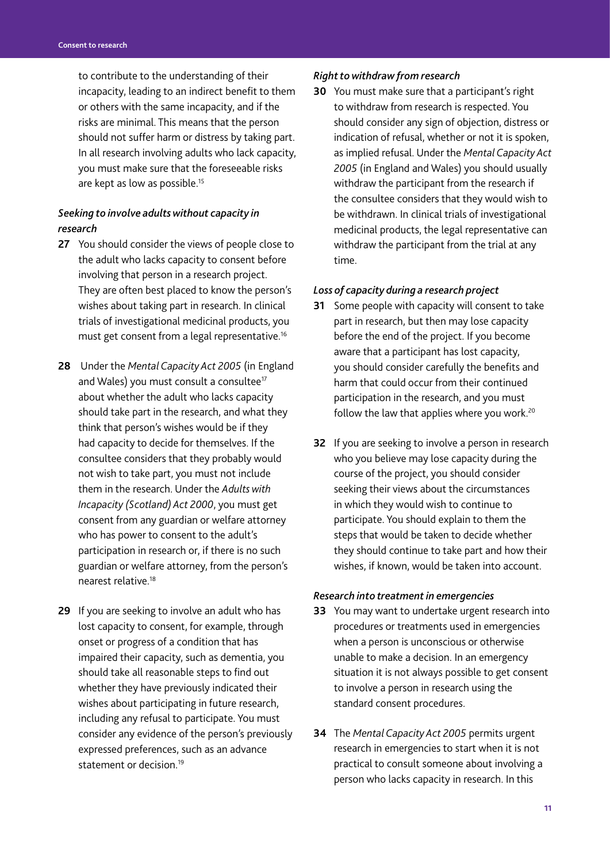to contribute to the understanding of their incapacity, leading to an indirect benefit to them or others with the same incapacity, and if the risks are minimal. This means that the person should not suffer harm or distress by taking part. In all research involving adults who lack capacity, you must make sure that the foreseeable risks are kept as low as possible.<sup>15</sup>

# *Seeking to involve adults without capacity in research*

- **27** You should consider the views of people close to the adult who lacks capacity to consent before involving that person in a research project. They are often best placed to know the person's wishes about taking part in research. In clinical trials of investigational medicinal products, you must get consent from a legal representative.<sup>16</sup>
- **28** Under the *Mental Capacity Act 2005* (in England and Wales) you must consult a consultee<sup>17</sup> about whether the adult who lacks capacity should take part in the research, and what they think that person's wishes would be if they had capacity to decide for themselves. If the consultee considers that they probably would not wish to take part, you must not include them in the research. Under the *Adults with Incapacity (Scotland) Act 2000*, you must get consent from any guardian or welfare attorney who has power to consent to the adult's participation in research or, if there is no such guardian or welfare attorney, from the person's nearest [relative.18](https://relative.18)
- **29** If you are seeking to involve an adult who has lost capacity to consent, for example, through onset or progress of a condition that has impaired their capacity, such as dementia, you should take all reasonable steps to find out whether they have previously indicated their wishes about participating in future research, including any refusal to participate. You must consider any evidence of the person's previously expressed preferences, such as an advance statement or decision.<sup>19</sup>

#### *Right to withdraw from research*

**30** You must make sure that a participant's right to withdraw from research is respected. You should consider any sign of objection, distress or indication of refusal, whether or not it is spoken, as implied refusal. Under the *Mental Capacity Act 2005* (in England and Wales) you should usually withdraw the participant from the research if the consultee considers that they would wish to be withdrawn. In clinical trials of investigational medicinal products, the legal representative can withdraw the participant from the trial at any time.

#### *Loss of capacity during a research project*

- **31** Some people with capacity will consent to take part in research, but then may lose capacity before the end of the project. If you become aware that a participant has lost capacity, you should consider carefully the benefits and harm that could occur from their continued participation in the research, and you must follow the law that applies where you work.<sup>20</sup>
- **32** If you are seeking to involve a person in research who you believe may lose capacity during the course of the project, you should consider seeking their views about the circumstances in which they would wish to continue to participate. You should explain to them the steps that would be taken to decide whether they should continue to take part and how their wishes, if known, would be taken into account.

#### *Research into treatment in emergencies*

- **33** You may want to undertake urgent research into procedures or treatments used in emergencies when a person is unconscious or otherwise unable to make a decision. In an emergency situation it is not always possible to get consent to involve a person in research using the standard consent procedures.
- **34** The *Mental Capacity Act 2005* permits urgent research in emergencies to start when it is not practical to consult someone about involving a person who lacks capacity in research. In this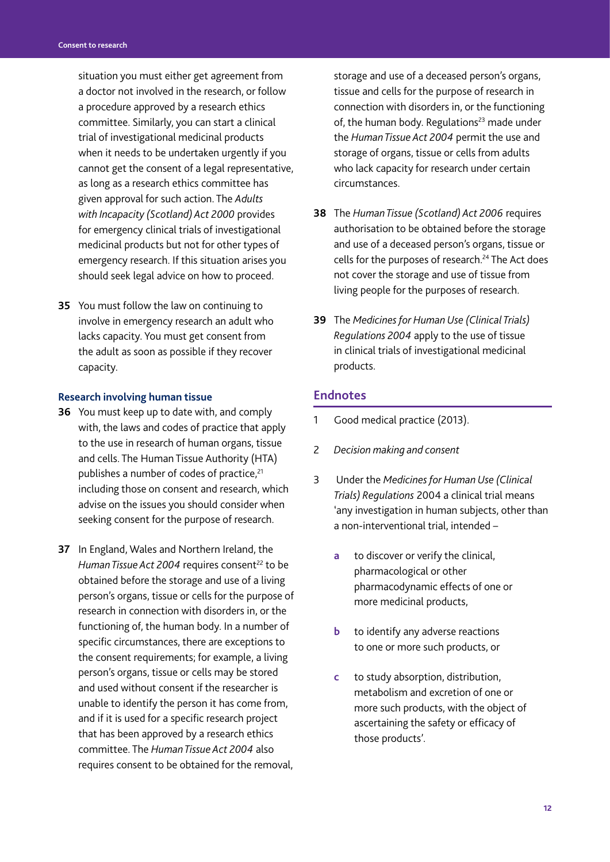situation you must either get agreement from a doctor not involved in the research, or follow a procedure approved by a research ethics committee. Similarly, you can start a clinical trial of investigational medicinal products when it needs to be undertaken urgently if you cannot get the consent of a legal representative, as long as a research ethics committee has given approval for such action. The *Adults with Incapacity (Scotland) Act 2000* provides for emergency clinical trials of investigational medicinal products but not for other types of emergency research. If this situation arises you should seek legal advice on how to proceed.

**35** You must follow the law on continuing to involve in emergency research an adult who lacks capacity. You must get consent from the adult as soon as possible if they recover capacity.

#### **Research involving human tissue**

- **36** You must keep up to date with, and comply with, the laws and codes of practice that apply to the use in research of human organs, tissue and cells. The Human Tissue Authority (HTA) publishes a number of codes of practice,<sup>21</sup> including those on consent and research, which advise on the issues you should consider when seeking consent for the purpose of research.
- **37** In England, Wales and Northern Ireland, the *Human Tissue Act 2004* requires consent<sup>22</sup> to be obtained before the storage and use of a living person's organs, tissue or cells for the purpose of research in connection with disorders in, or the functioning of, the human body. In a number of specific circumstances, there are exceptions to the consent requirements; for example, a living person's organs, tissue or cells may be stored and used without consent if the researcher is unable to identify the person it has come from, and if it is used for a specific research project that has been approved by a research ethics committee. The *Human Tissue Act 2004* also requires consent to be obtained for the removal,

storage and use of a deceased person's organs, tissue and cells for the purpose of research in connection with disorders in, or the functioning of, the human body. Regulations<sup>23</sup> made under the *Human Tissue Act 2004* permit the use and storage of organs, tissue or cells from adults who lack capacity for research under certain circumstances.

- **38** The *Human Tissue (Scotland) Act 2006* requires authorisation to be obtained before the storage and use of a deceased person's organs, tissue or cells for the purposes of research.<sup>24</sup> The Act does not cover the storage and use of tissue from living people for the purposes of research.
- **39** The *Medicines for Human Use (Clinical Trials) Regulations 2004* apply to the use of tissue in clinical trials of investigational medicinal products.

#### **Endnotes**

- 1 Good medical practice (2013).
- 2 *Decision making and consent*
- 3 Under the *Medicines for Human Use (Clinical Trials) Regulations* 2004 a clinical trial means 'any investigation in human subjects, other than a non-interventional trial, intended –
	- $\overline{a}$ **a** to discover or verify the clinical, pharmacological or other pharmacodynamic effects of one or more medicinal products,
	- $\mathbf b$ **b** to identify any adverse reactions to one or more such products, or
	- $\mathsf{C}$ **c** to study absorption, distribution, metabolism and excretion of one or more such products, with the object of ascertaining the safety or efficacy of those products'.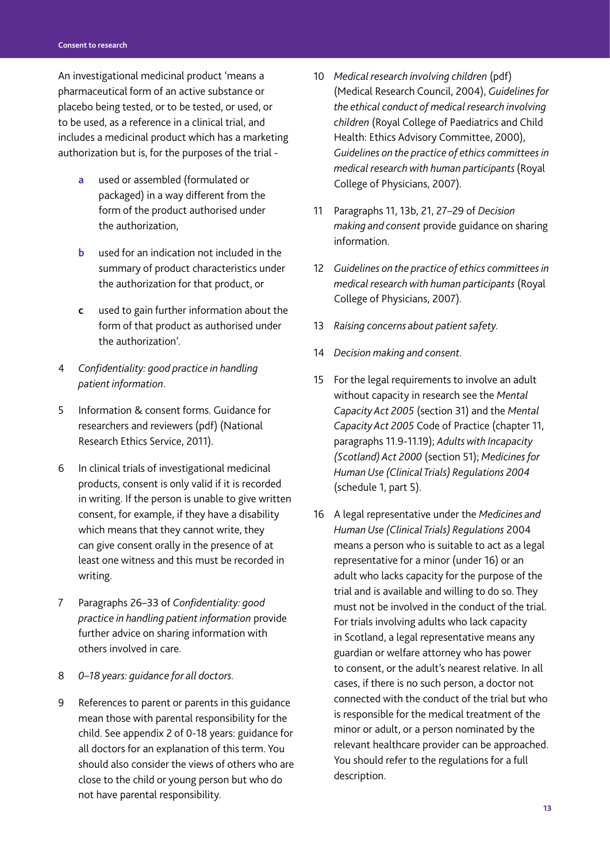An investigational medicinal product 'means a pharmaceutical form of an active substance or placebo being tested, or to be tested, or used, or to be used, as a reference in a clinical trial, and includes a medicinal product which has a marketing authorization but is, for the purposes of the trial -

- $\overline{a}$ **a** used or assembled (formulated or packaged) in a way different from the form of the product authorised under the authorization,
- $\mathbf b$ **b** used for an indication not included in the summary of product characteristics under the authorization for that product, or
- $\mathbf{c}$ **c** used to gain further information about the form of that product as authorised under the authorization'.
- 4 *[Confdentiality: good practice in handling](http://www.gmc-uk.org/guidance/ethical_guidance/confidentiality.asp)  [patient information](http://www.gmc-uk.org/guidance/ethical_guidance/confidentiality.asp)*.
- 5 Information & consent forms. Guidance for researchers and reviewers (pdf) (National Research Ethics Service, 2011).
- 6 In clinical trials of investigational medicinal products, consent is only valid if it is recorded in writing. If the person is unable to give written consent, for example, if they have a disability which means that they cannot write, they can give consent orally in the presence of at least one witness and this must be recorded in writing.
- 7 Paragraphs 26–33 of *Confdentiality: good practice in handling patient information* provide further advice on sharing information with others involved in care.
- 8 *0–18 years: guidance for all doctors.*
- 9 References to parent or parents in this guidance mean those with parental responsibility for the child. See appendix 2 of 0-18 years: guidance for all doctors for an explanation of this term. You should also consider the views of others who are close to the child or young person but who do not have parental responsibility.
- 10 *Medical research involving children* (pdf) (Medical Research Council, 2004), *Guidelines for the ethical conduct of medical research involving children* (Royal College of Paediatrics and Child Health: Ethics Advisory Committee, 2000), *Guidelines on the practice of ethics committees in medical research with human participants* (Royal College of Physicians, 2007).
- 11 Paragraphs 11, 13b, 21, 27–29 of *Decision making and consent* provide guidance on sharing information.
- 12 *Guidelines on the practice of ethics committees in medical research with human participants* (Royal College of Physicians, 2007).
- 13 *Raising concerns about patient safety.*
- 14 *Decision making and consent.*
- 15 For the legal requirements to involve an adult without capacity in research see the *Mental Capacity Act 2005* (section 31) and the *Mental Capacity Act 2005* Code of Practice (chapter 11, paragraphs 11.9-11.19); *Adults with Incapacity (Scotland) Act 2000* (section 51); *Medicines for Human Use (Clinical Trials) Regulations 2004*  (schedule 1, part 5).
- 16 A legal representative under the *Medicines and Human Use (Clinical Trials) Regulations* 2004 means a person who is suitable to act as a legal representative for a minor (under 16) or an adult who lacks capacity for the purpose of the trial and is available and willing to do so. They must not be involved in the conduct of the trial. For trials involving adults who lack capacity in Scotland, a legal representative means any guardian or welfare attorney who has power to consent, or the adult's nearest relative. In all cases, if there is no such person, a doctor not connected with the conduct of the trial but who is responsible for the medical treatment of the minor or adult, or a person nominated by the relevant healthcare provider can be approached. You should refer to the regulations for a full description.